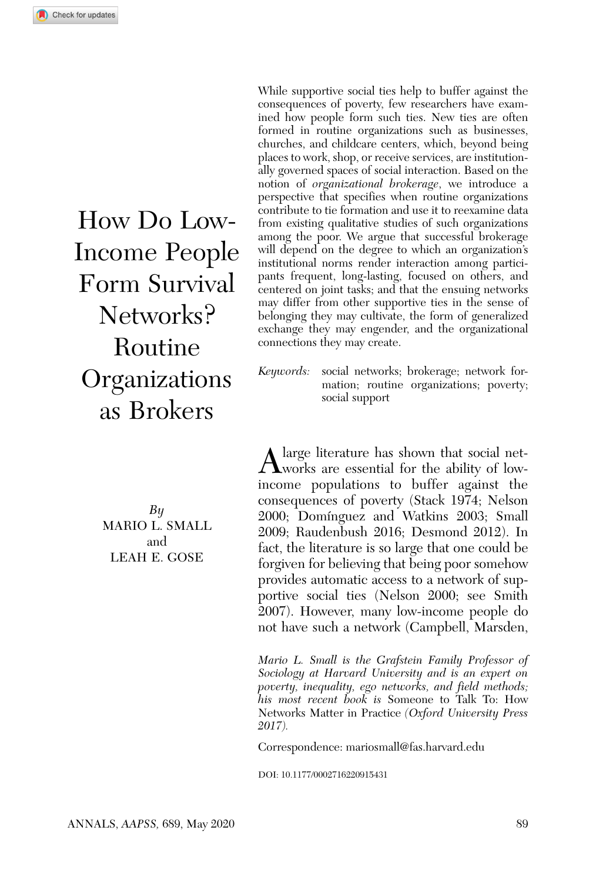How Do Low-Income People Form Survival Networks? Routine **Organizations** as Brokers

> *By* Mario L. Small and Leah E. Gose

While supportive social ties help to buffer against the consequences of poverty, few researchers have examined how people form such ties. New ties are often formed in routine organizations such as businesses, churches, and childcare centers, which, beyond being places to work, shop, or receive services, are institutionally governed spaces of social interaction. Based on the notion of *organizational brokerage*, we introduce a perspective that specifies when routine organizations contribute to tie formation and use it to reexamine data from existing qualitative studies of such organizations among the poor. We argue that successful brokerage will depend on the degree to which an organization's institutional norms render interaction among participants frequent, long-lasting, focused on others, and centered on joint tasks; and that the ensuing networks may differ from other supportive ties in the sense of belonging they may cultivate, the form of generalized exchange they may engender, and the organizational connections they may create.

*Keywords:* social networks; brokerage; network formation; routine organizations; poverty; social support

A large literature has shown that social net-<br>works are essential for the ability of lowincome populations to buffer against the consequences of poverty (Stack 1974; Nelson 2000; Domínguez and Watkins 2003; Small 2009; Raudenbush 2016; Desmond 2012). In fact, the literature is so large that one could be forgiven for believing that being poor somehow provides automatic access to a network of supportive social ties (Nelson 2000; see Smith 2007). However, many low-income people do not have such a network (Campbell, Marsden,

*Mario L. Small is the Grafstein Family Professor of Sociology at Harvard University and is an expert on poverty, inequality, ego networks, and field methods; his most recent book is* Someone to Talk To: How Networks Matter in Practice *(Oxford University Press 2017).*

Correspondence: [mariosmall@fas.harvard.edu](mailto:mariosmall@fas.harvard.edu)

DOI: 10.1177/0002716220915431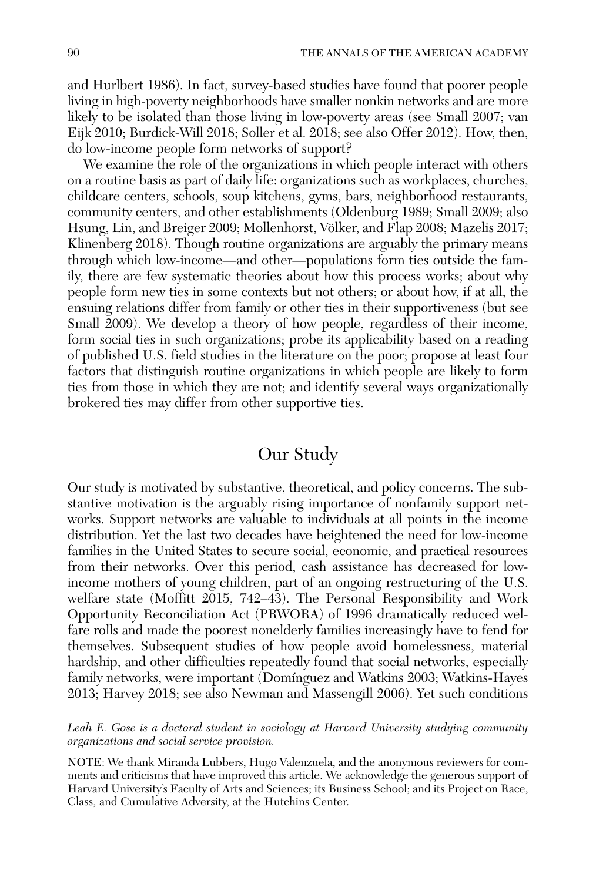and Hurlbert 1986). In fact, survey-based studies have found that poorer people living in high-poverty neighborhoods have smaller nonkin networks and are more likely to be isolated than those living in low-poverty areas (see Small 2007; van Eijk 2010; Burdick-Will 2018; Soller et al. 2018; see also Offer 2012). How, then, do low-income people form networks of support?

We examine the role of the organizations in which people interact with others on a routine basis as part of daily life: organizations such as workplaces, churches, childcare centers, schools, soup kitchens, gyms, bars, neighborhood restaurants, community centers, and other establishments (Oldenburg 1989; Small 2009; also Hsung, Lin, and Breiger 2009; Mollenhorst, Völker, and Flap 2008; Mazelis 2017; Klinenberg 2018). Though routine organizations are arguably the primary means through which low-income—and other—populations form ties outside the family, there are few systematic theories about how this process works; about why people form new ties in some contexts but not others; or about how, if at all, the ensuing relations differ from family or other ties in their supportiveness (but see Small 2009). We develop a theory of how people, regardless of their income, form social ties in such organizations; probe its applicability based on a reading of published U.S. field studies in the literature on the poor; propose at least four factors that distinguish routine organizations in which people are likely to form ties from those in which they are not; and identify several ways organizationally brokered ties may differ from other supportive ties.

## Our Study

Our study is motivated by substantive, theoretical, and policy concerns. The substantive motivation is the arguably rising importance of nonfamily support networks. Support networks are valuable to individuals at all points in the income distribution. Yet the last two decades have heightened the need for low-income families in the United States to secure social, economic, and practical resources from their networks. Over this period, cash assistance has decreased for lowincome mothers of young children, part of an ongoing restructuring of the U.S. welfare state (Moffitt 2015, 742–43). The Personal Responsibility and Work Opportunity Reconciliation Act (PRWORA) of 1996 dramatically reduced welfare rolls and made the poorest nonelderly families increasingly have to fend for themselves. Subsequent studies of how people avoid homelessness, material hardship, and other difficulties repeatedly found that social networks, especially family networks, were important (Domínguez and Watkins 2003; Watkins-Hayes 2013; Harvey 2018; see also Newman and Massengill 2006). Yet such conditions

Leah E. Gose is a doctoral student in sociology at Harvard University studying community *organizations and social service provision.*

NOTE: We thank Miranda Lubbers, Hugo Valenzuela, and the anonymous reviewers for comments and criticisms that have improved this article. We acknowledge the generous support of Harvard University's Faculty of Arts and Sciences; its Business School; and its Project on Race, Class, and Cumulative Adversity, at the Hutchins Center.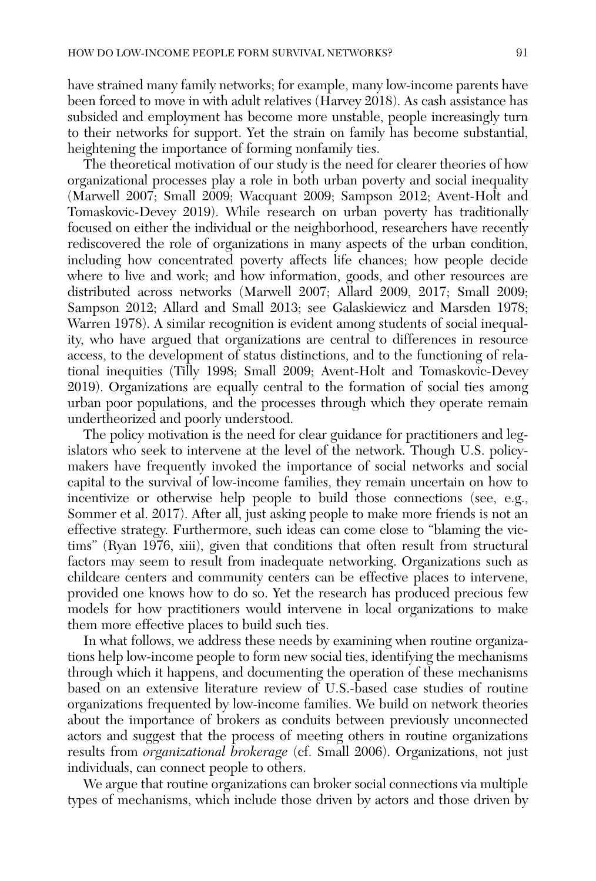have strained many family networks; for example, many low-income parents have been forced to move in with adult relatives (Harvey 2018). As cash assistance has subsided and employment has become more unstable, people increasingly turn to their networks for support. Yet the strain on family has become substantial, heightening the importance of forming nonfamily ties.

The theoretical motivation of our study is the need for clearer theories of how organizational processes play a role in both urban poverty and social inequality (Marwell 2007; Small 2009; Wacquant 2009; Sampson 2012; Avent-Holt and Tomaskovic-Devey 2019). While research on urban poverty has traditionally focused on either the individual or the neighborhood, researchers have recently rediscovered the role of organizations in many aspects of the urban condition, including how concentrated poverty affects life chances; how people decide where to live and work; and how information, goods, and other resources are distributed across networks (Marwell 2007; Allard 2009, 2017; Small 2009; Sampson 2012; Allard and Small 2013; see Galaskiewicz and Marsden 1978; Warren 1978). A similar recognition is evident among students of social inequality, who have argued that organizations are central to differences in resource access, to the development of status distinctions, and to the functioning of relational inequities (Tilly 1998; Small 2009; Avent-Holt and Tomaskovic-Devey 2019). Organizations are equally central to the formation of social ties among urban poor populations, and the processes through which they operate remain undertheorized and poorly understood.

The policy motivation is the need for clear guidance for practitioners and legislators who seek to intervene at the level of the network. Though U.S. policymakers have frequently invoked the importance of social networks and social capital to the survival of low-income families, they remain uncertain on how to incentivize or otherwise help people to build those connections (see, e.g., Sommer et al. 2017). After all, just asking people to make more friends is not an effective strategy. Furthermore, such ideas can come close to "blaming the victims" (Ryan 1976, xiii), given that conditions that often result from structural factors may seem to result from inadequate networking. Organizations such as childcare centers and community centers can be effective places to intervene, provided one knows how to do so. Yet the research has produced precious few models for how practitioners would intervene in local organizations to make them more effective places to build such ties.

In what follows, we address these needs by examining when routine organizations help low-income people to form new social ties, identifying the mechanisms through which it happens, and documenting the operation of these mechanisms based on an extensive literature review of U.S.-based case studies of routine organizations frequented by low-income families. We build on network theories about the importance of brokers as conduits between previously unconnected actors and suggest that the process of meeting others in routine organizations results from *organizational brokerage* (cf. Small 2006). Organizations, not just individuals, can connect people to others.

We argue that routine organizations can broker social connections via multiple types of mechanisms, which include those driven by actors and those driven by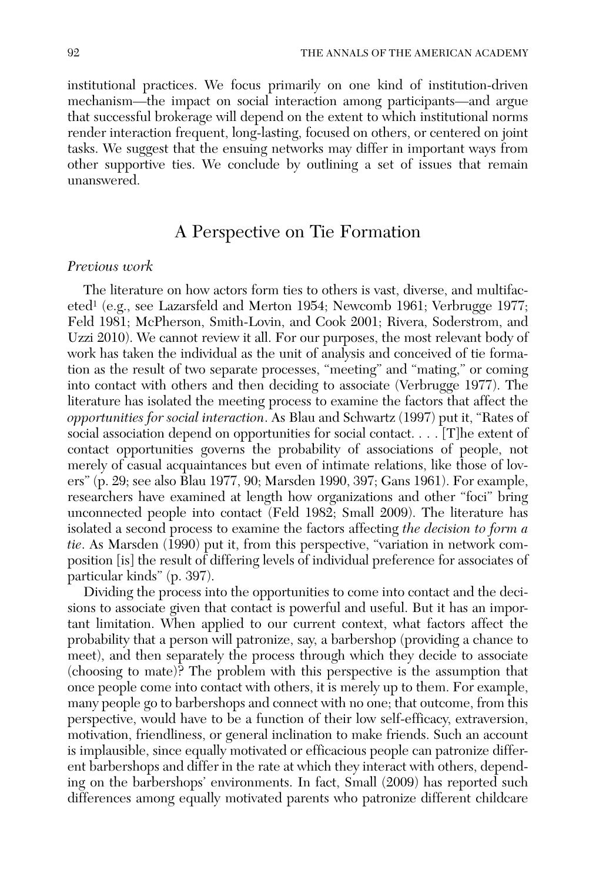institutional practices. We focus primarily on one kind of institution-driven mechanism—the impact on social interaction among participants—and argue that successful brokerage will depend on the extent to which institutional norms render interaction frequent, long-lasting, focused on others, or centered on joint tasks. We suggest that the ensuing networks may differ in important ways from other supportive ties. We conclude by outlining a set of issues that remain unanswered.

## A Perspective on Tie Formation

#### *Previous work*

The literature on how actors form ties to others is vast, diverse, and multifaceted1 (e.g., see Lazarsfeld and Merton 1954; Newcomb 1961; Verbrugge 1977; Feld 1981; McPherson, Smith-Lovin, and Cook 2001; Rivera, Soderstrom, and Uzzi 2010). We cannot review it all. For our purposes, the most relevant body of work has taken the individual as the unit of analysis and conceived of tie formation as the result of two separate processes, "meeting" and "mating," or coming into contact with others and then deciding to associate (Verbrugge 1977). The literature has isolated the meeting process to examine the factors that affect the *opportunities for social interaction*. As Blau and Schwartz (1997) put it, "Rates of social association depend on opportunities for social contact. . . . [T]he extent of contact opportunities governs the probability of associations of people, not merely of casual acquaintances but even of intimate relations, like those of lovers" (p. 29; see also Blau 1977, 90; Marsden 1990, 397; Gans 1961). For example, researchers have examined at length how organizations and other "foci" bring unconnected people into contact (Feld 1982; Small 2009). The literature has isolated a second process to examine the factors affecting *the decision to form a tie*. As Marsden (1990) put it, from this perspective, "variation in network composition [is] the result of differing levels of individual preference for associates of particular kinds" (p. 397).

Dividing the process into the opportunities to come into contact and the decisions to associate given that contact is powerful and useful. But it has an important limitation. When applied to our current context, what factors affect the probability that a person will patronize, say, a barbershop (providing a chance to meet), and then separately the process through which they decide to associate (choosing to mate)? The problem with this perspective is the assumption that once people come into contact with others, it is merely up to them. For example, many people go to barbershops and connect with no one; that outcome, from this perspective, would have to be a function of their low self-efficacy, extraversion, motivation, friendliness, or general inclination to make friends. Such an account is implausible, since equally motivated or efficacious people can patronize different barbershops and differ in the rate at which they interact with others, depending on the barbershops' environments. In fact, Small (2009) has reported such differences among equally motivated parents who patronize different childcare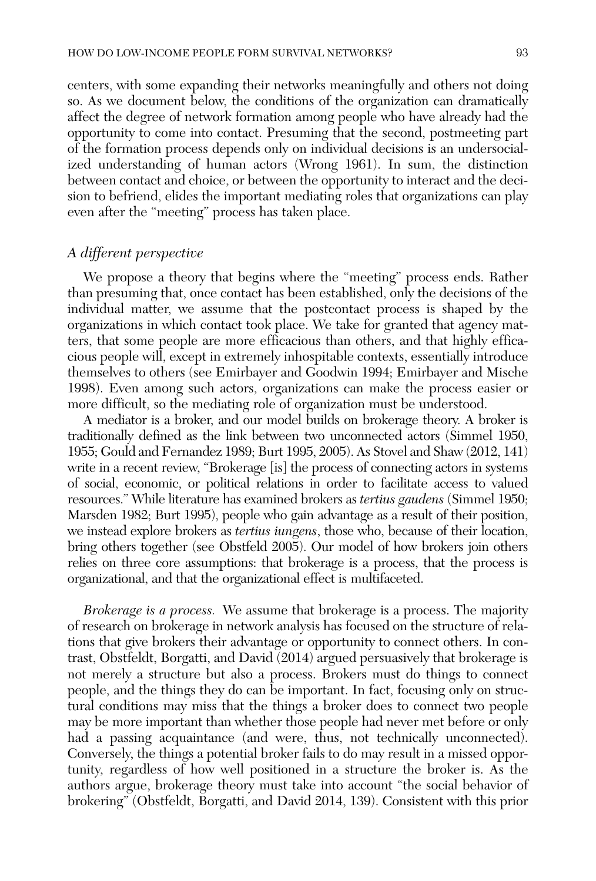centers, with some expanding their networks meaningfully and others not doing so. As we document below, the conditions of the organization can dramatically affect the degree of network formation among people who have already had the opportunity to come into contact. Presuming that the second, postmeeting part of the formation process depends only on individual decisions is an undersocialized understanding of human actors (Wrong 1961). In sum, the distinction between contact and choice, or between the opportunity to interact and the decision to befriend, elides the important mediating roles that organizations can play even after the "meeting" process has taken place.

#### *A different perspective*

We propose a theory that begins where the "meeting" process ends. Rather than presuming that, once contact has been established, only the decisions of the individual matter, we assume that the postcontact process is shaped by the organizations in which contact took place. We take for granted that agency matters, that some people are more efficacious than others, and that highly efficacious people will, except in extremely inhospitable contexts, essentially introduce themselves to others (see Emirbayer and Goodwin 1994; Emirbayer and Mische 1998). Even among such actors, organizations can make the process easier or more difficult, so the mediating role of organization must be understood.

A mediator is a broker, and our model builds on brokerage theory. A broker is traditionally defined as the link between two unconnected actors (Simmel 1950, 1955; Gould and Fernandez 1989; Burt 1995, 2005). As Stovel and Shaw (2012, 141) write in a recent review, "Brokerage [is] the process of connecting actors in systems of social, economic, or political relations in order to facilitate access to valued resources." While literature has examined brokers as *tertius gaudens* (Simmel 1950; Marsden 1982; Burt 1995), people who gain advantage as a result of their position, we instead explore brokers as *tertius iungens*, those who, because of their location, bring others together (see Obstfeld 2005). Our model of how brokers join others relies on three core assumptions: that brokerage is a process, that the process is organizational, and that the organizational effect is multifaceted.

*Brokerage is a process.* We assume that brokerage is a process. The majority of research on brokerage in network analysis has focused on the structure of relations that give brokers their advantage or opportunity to connect others. In contrast, Obstfeldt, Borgatti, and David (2014) argued persuasively that brokerage is not merely a structure but also a process. Brokers must do things to connect people, and the things they do can be important. In fact, focusing only on structural conditions may miss that the things a broker does to connect two people may be more important than whether those people had never met before or only had a passing acquaintance (and were, thus, not technically unconnected). Conversely, the things a potential broker fails to do may result in a missed opportunity, regardless of how well positioned in a structure the broker is. As the authors argue, brokerage theory must take into account "the social behavior of brokering" (Obstfeldt, Borgatti, and David 2014, 139). Consistent with this prior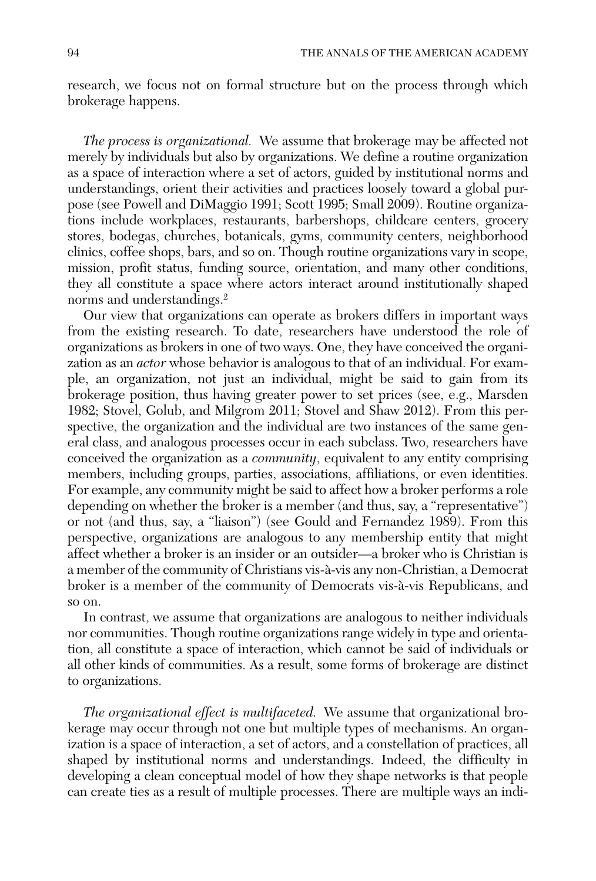research, we focus not on formal structure but on the process through which brokerage happens.

*The process is organizational.* We assume that brokerage may be affected not merely by individuals but also by organizations. We define a routine organization as a space of interaction where a set of actors, guided by institutional norms and understandings, orient their activities and practices loosely toward a global purpose (see Powell and DiMaggio 1991; Scott 1995; Small 2009). Routine organizations include workplaces, restaurants, barbershops, childcare centers, grocery stores, bodegas, churches, botanicals, gyms, community centers, neighborhood clinics, coffee shops, bars, and so on. Though routine organizations vary in scope, mission, profit status, funding source, orientation, and many other conditions, they all constitute a space where actors interact around institutionally shaped norms and understandings.<sup>2</sup>

Our view that organizations can operate as brokers differs in important ways from the existing research. To date, researchers have understood the role of organizations as brokers in one of two ways. One, they have conceived the organization as an *actor* whose behavior is analogous to that of an individual. For example, an organization, not just an individual, might be said to gain from its brokerage position, thus having greater power to set prices (see, e.g., Marsden 1982; Stovel, Golub, and Milgrom 2011; Stovel and Shaw 2012). From this perspective, the organization and the individual are two instances of the same general class, and analogous processes occur in each subclass. Two, researchers have conceived the organization as a *community*, equivalent to any entity comprising members, including groups, parties, associations, affiliations, or even identities. For example, any community might be said to affect how a broker performs a role depending on whether the broker is a member (and thus, say, a "representative") or not (and thus, say, a "liaison") (see Gould and Fernandez 1989). From this perspective, organizations are analogous to any membership entity that might affect whether a broker is an insider or an outsider—a broker who is Christian is a member of the community of Christians vis-à-vis any non-Christian, a Democrat broker is a member of the community of Democrats vis-à-vis Republicans, and so on.

In contrast, we assume that organizations are analogous to neither individuals nor communities. Though routine organizations range widely in type and orientation, all constitute a space of interaction, which cannot be said of individuals or all other kinds of communities. As a result, some forms of brokerage are distinct to organizations.

*The organizational effect is multifaceted.* We assume that organizational brokerage may occur through not one but multiple types of mechanisms. An organization is a space of interaction, a set of actors, and a constellation of practices, all shaped by institutional norms and understandings. Indeed, the difficulty in developing a clean conceptual model of how they shape networks is that people can create ties as a result of multiple processes. There are multiple ways an indi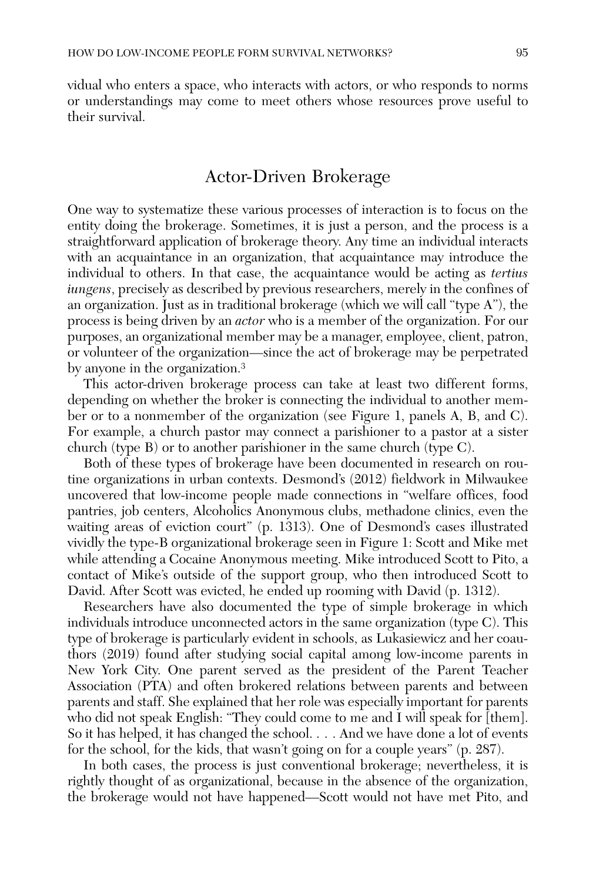vidual who enters a space, who interacts with actors, or who responds to norms or understandings may come to meet others whose resources prove useful to their survival.

## Actor-Driven Brokerage

One way to systematize these various processes of interaction is to focus on the entity doing the brokerage. Sometimes, it is just a person, and the process is a straightforward application of brokerage theory. Any time an individual interacts with an acquaintance in an organization, that acquaintance may introduce the individual to others. In that case, the acquaintance would be acting as *tertius iungens*, precisely as described by previous researchers, merely in the confines of an organization. Just as in traditional brokerage (which we will call "type A"), the process is being driven by an *actor* who is a member of the organization. For our purposes, an organizational member may be a manager, employee, client, patron, or volunteer of the organization—since the act of brokerage may be perpetrated by anyone in the organization.3

This actor-driven brokerage process can take at least two different forms, depending on whether the broker is connecting the individual to another member or to a nonmember of the organization (see Figure 1, panels A, B, and C). For example, a church pastor may connect a parishioner to a pastor at a sister church (type B) or to another parishioner in the same church (type C).

Both of these types of brokerage have been documented in research on routine organizations in urban contexts. Desmond's (2012) fieldwork in Milwaukee uncovered that low-income people made connections in "welfare offices, food pantries, job centers, Alcoholics Anonymous clubs, methadone clinics, even the waiting areas of eviction court" (p. 1313). One of Desmond's cases illustrated vividly the type-B organizational brokerage seen in Figure 1: Scott and Mike met while attending a Cocaine Anonymous meeting. Mike introduced Scott to Pito, a contact of Mike's outside of the support group, who then introduced Scott to David. After Scott was evicted, he ended up rooming with David (p. 1312).

Researchers have also documented the type of simple brokerage in which individuals introduce unconnected actors in the same organization (type C). This type of brokerage is particularly evident in schools, as Lukasiewicz and her coauthors (2019) found after studying social capital among low-income parents in New York City. One parent served as the president of the Parent Teacher Association (PTA) and often brokered relations between parents and between parents and staff. She explained that her role was especially important for parents who did not speak English: "They could come to me and I will speak for [them]. So it has helped, it has changed the school. . . . And we have done a lot of events for the school, for the kids, that wasn't going on for a couple years" (p. 287).

In both cases, the process is just conventional brokerage; nevertheless, it is rightly thought of as organizational, because in the absence of the organization, the brokerage would not have happened—Scott would not have met Pito, and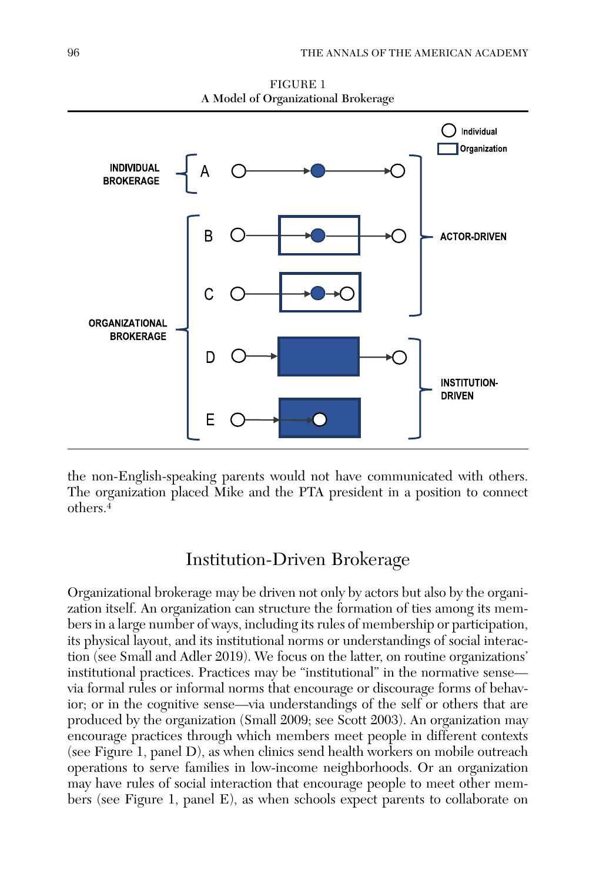

FIGURE 1 A Model of Organizational Brokerage

the non-English-speaking parents would not have communicated with others. The organization placed Mike and the PTA president in a position to connect others.4

## Institution-Driven Brokerage

Organizational brokerage may be driven not only by actors but also by the organization itself. An organization can structure the formation of ties among its members in a large number of ways, including its rules of membership or participation, its physical layout, and its institutional norms or understandings of social interaction (see Small and Adler 2019). We focus on the latter, on routine organizations' institutional practices. Practices may be "institutional" in the normative sense via formal rules or informal norms that encourage or discourage forms of behavior; or in the cognitive sense—via understandings of the self or others that are produced by the organization (Small 2009; see Scott 2003). An organization may encourage practices through which members meet people in different contexts (see Figure 1, panel D), as when clinics send health workers on mobile outreach operations to serve families in low-income neighborhoods. Or an organization may have rules of social interaction that encourage people to meet other members (see Figure 1, panel E), as when schools expect parents to collaborate on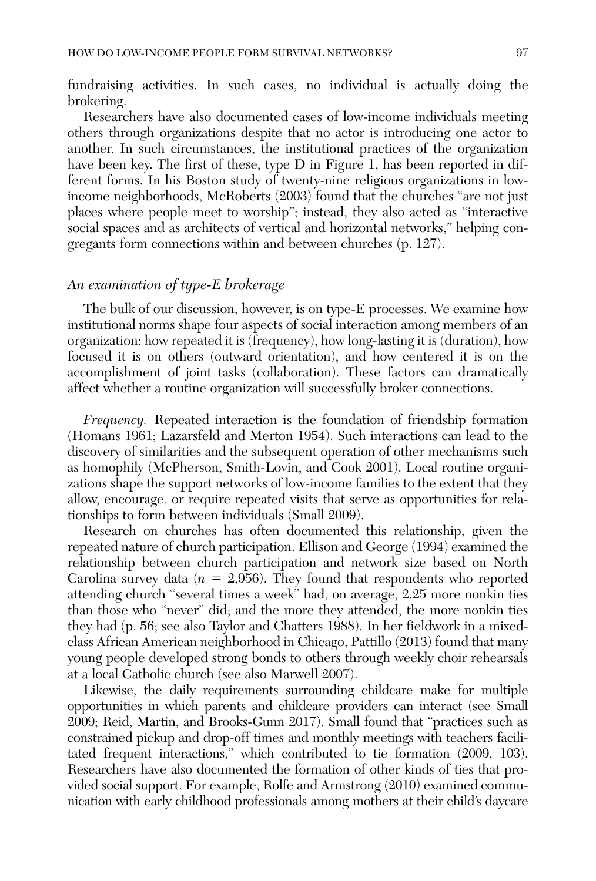fundraising activities. In such cases, no individual is actually doing the brokering.

Researchers have also documented cases of low-income individuals meeting others through organizations despite that no actor is introducing one actor to another. In such circumstances, the institutional practices of the organization have been key. The first of these, type D in Figure 1, has been reported in different forms. In his Boston study of twenty-nine religious organizations in lowincome neighborhoods, McRoberts (2003) found that the churches "are not just places where people meet to worship"; instead, they also acted as "interactive social spaces and as architects of vertical and horizontal networks," helping congregants form connections within and between churches (p. 127).

#### *An examination of type-E brokerage*

The bulk of our discussion, however, is on type-E processes. We examine how institutional norms shape four aspects of social interaction among members of an organization: how repeated it is (frequency), how long-lasting it is (duration), how focused it is on others (outward orientation), and how centered it is on the accomplishment of joint tasks (collaboration). These factors can dramatically affect whether a routine organization will successfully broker connections.

*Frequency.* Repeated interaction is the foundation of friendship formation (Homans 1961; Lazarsfeld and Merton 1954). Such interactions can lead to the discovery of similarities and the subsequent operation of other mechanisms such as homophily (McPherson, Smith-Lovin, and Cook 2001). Local routine organizations shape the support networks of low-income families to the extent that they allow, encourage, or require repeated visits that serve as opportunities for relationships to form between individuals (Small 2009).

Research on churches has often documented this relationship, given the repeated nature of church participation. Ellison and George (1994) examined the relationship between church participation and network size based on North Carolina survey data  $(n = 2,956)$ . They found that respondents who reported attending church "several times a week" had, on average, 2.25 more nonkin ties than those who "never" did; and the more they attended, the more nonkin ties they had (p. 56; see also Taylor and Chatters 1988). In her fieldwork in a mixedclass African American neighborhood in Chicago, Pattillo (2013) found that many young people developed strong bonds to others through weekly choir rehearsals at a local Catholic church (see also Marwell 2007).

Likewise, the daily requirements surrounding childcare make for multiple opportunities in which parents and childcare providers can interact (see Small 2009; Reid, Martin, and Brooks-Gunn 2017). Small found that "practices such as constrained pickup and drop-off times and monthly meetings with teachers facilitated frequent interactions," which contributed to tie formation (2009, 103). Researchers have also documented the formation of other kinds of ties that provided social support. For example, Rolfe and Armstrong (2010) examined communication with early childhood professionals among mothers at their child's daycare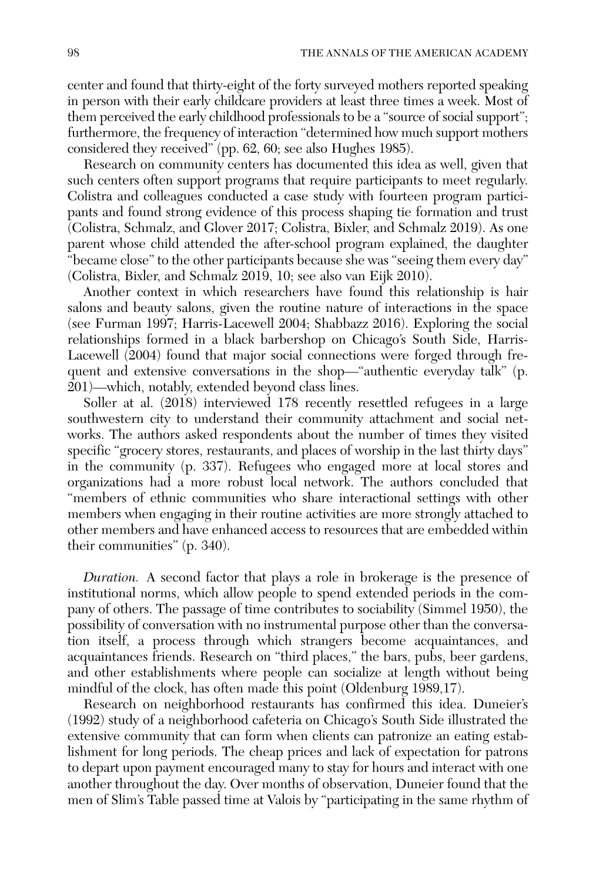center and found that thirty-eight of the forty surveyed mothers reported speaking in person with their early childcare providers at least three times a week. Most of them perceived the early childhood professionals to be a "source of social support"; furthermore, the frequency of interaction "determined how much support mothers considered they received" (pp. 62, 60; see also Hughes 1985).

Research on community centers has documented this idea as well, given that such centers often support programs that require participants to meet regularly. Colistra and colleagues conducted a case study with fourteen program participants and found strong evidence of this process shaping tie formation and trust (Colistra, Schmalz, and Glover 2017; Colistra, Bixler, and Schmalz 2019). As one parent whose child attended the after-school program explained, the daughter "became close" to the other participants because she was "seeing them every day" (Colistra, Bixler, and Schmalz 2019, 10; see also van Eijk 2010).

Another context in which researchers have found this relationship is hair salons and beauty salons, given the routine nature of interactions in the space (see Furman 1997; Harris-Lacewell 2004; Shabbazz 2016). Exploring the social relationships formed in a black barbershop on Chicago's South Side, Harris-Lacewell (2004) found that major social connections were forged through frequent and extensive conversations in the shop—"authentic everyday talk" (p. 201)—which, notably, extended beyond class lines.

Soller at al. (2018) interviewed 178 recently resettled refugees in a large southwestern city to understand their community attachment and social networks. The authors asked respondents about the number of times they visited specific "grocery stores, restaurants, and places of worship in the last thirty days" in the community (p. 337). Refugees who engaged more at local stores and organizations had a more robust local network. The authors concluded that "members of ethnic communities who share interactional settings with other members when engaging in their routine activities are more strongly attached to other members and have enhanced access to resources that are embedded within their communities" (p. 340).

*Duration.* A second factor that plays a role in brokerage is the presence of institutional norms, which allow people to spend extended periods in the company of others. The passage of time contributes to sociability (Simmel 1950), the possibility of conversation with no instrumental purpose other than the conversation itself, a process through which strangers become acquaintances, and acquaintances friends. Research on "third places," the bars, pubs, beer gardens, and other establishments where people can socialize at length without being mindful of the clock, has often made this point (Oldenburg 1989,17).

Research on neighborhood restaurants has confirmed this idea. Duneier's (1992) study of a neighborhood cafeteria on Chicago's South Side illustrated the extensive community that can form when clients can patronize an eating establishment for long periods. The cheap prices and lack of expectation for patrons to depart upon payment encouraged many to stay for hours and interact with one another throughout the day. Over months of observation, Duneier found that the men of Slim's Table passed time at Valois by "participating in the same rhythm of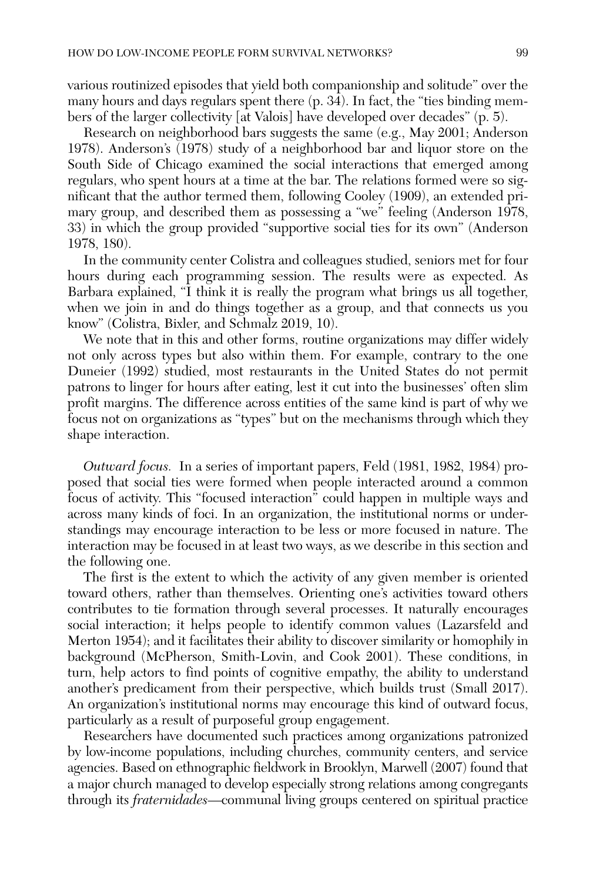various routinized episodes that yield both companionship and solitude" over the many hours and days regulars spent there (p. 34). In fact, the "ties binding members of the larger collectivity [at Valois] have developed over decades" (p. 5).

Research on neighborhood bars suggests the same (e.g., May 2001; Anderson 1978). Anderson's (1978) study of a neighborhood bar and liquor store on the South Side of Chicago examined the social interactions that emerged among regulars, who spent hours at a time at the bar. The relations formed were so significant that the author termed them, following Cooley (1909), an extended primary group, and described them as possessing a "we" feeling (Anderson 1978, 33) in which the group provided "supportive social ties for its own" (Anderson 1978, 180).

In the community center Colistra and colleagues studied, seniors met for four hours during each programming session. The results were as expected. As Barbara explained, "I think it is really the program what brings us all together, when we join in and do things together as a group, and that connects us you know" (Colistra, Bixler, and Schmalz 2019, 10).

We note that in this and other forms, routine organizations may differ widely not only across types but also within them. For example, contrary to the one Duneier (1992) studied, most restaurants in the United States do not permit patrons to linger for hours after eating, lest it cut into the businesses' often slim profit margins. The difference across entities of the same kind is part of why we focus not on organizations as "types" but on the mechanisms through which they shape interaction.

*Outward focus.* In a series of important papers, Feld (1981, 1982, 1984) proposed that social ties were formed when people interacted around a common focus of activity. This "focused interaction" could happen in multiple ways and across many kinds of foci. In an organization, the institutional norms or understandings may encourage interaction to be less or more focused in nature. The interaction may be focused in at least two ways, as we describe in this section and the following one.

The first is the extent to which the activity of any given member is oriented toward others, rather than themselves. Orienting one's activities toward others contributes to tie formation through several processes. It naturally encourages social interaction; it helps people to identify common values (Lazarsfeld and Merton 1954); and it facilitates their ability to discover similarity or homophily in background (McPherson, Smith-Lovin, and Cook 2001). These conditions, in turn, help actors to find points of cognitive empathy, the ability to understand another's predicament from their perspective, which builds trust (Small 2017). An organization's institutional norms may encourage this kind of outward focus, particularly as a result of purposeful group engagement.

Researchers have documented such practices among organizations patronized by low-income populations, including churches, community centers, and service agencies. Based on ethnographic fieldwork in Brooklyn, Marwell (2007) found that a major church managed to develop especially strong relations among congregants through its *fraternidades—*communal living groups centered on spiritual practice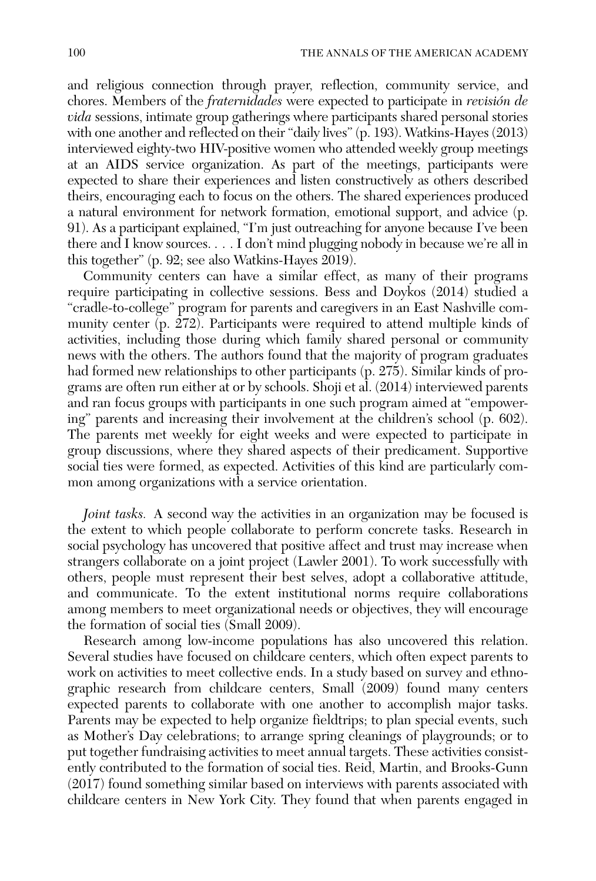and religious connection through prayer, reflection, community service, and chores. Members of the *fraternidades* were expected to participate in *revisión de vida* sessions, intimate group gatherings where participants shared personal stories with one another and reflected on their "daily lives" (p. 193). Watkins-Hayes (2013) interviewed eighty-two HIV-positive women who attended weekly group meetings at an AIDS service organization. As part of the meetings, participants were expected to share their experiences and listen constructively as others described theirs, encouraging each to focus on the others. The shared experiences produced a natural environment for network formation, emotional support, and advice (p. 91). As a participant explained, "I'm just outreaching for anyone because I've been there and I know sources. . . . I don't mind plugging nobody in because we're all in this together" (p. 92; see also Watkins-Hayes 2019).

Community centers can have a similar effect, as many of their programs require participating in collective sessions. Bess and Doykos (2014) studied a "cradle-to-college" program for parents and caregivers in an East Nashville community center (p. 272). Participants were required to attend multiple kinds of activities, including those during which family shared personal or community news with the others. The authors found that the majority of program graduates had formed new relationships to other participants (p. 275). Similar kinds of programs are often run either at or by schools. Shoji et al. (2014) interviewed parents and ran focus groups with participants in one such program aimed at "empowering" parents and increasing their involvement at the children's school (p. 602). The parents met weekly for eight weeks and were expected to participate in group discussions, where they shared aspects of their predicament. Supportive social ties were formed, as expected. Activities of this kind are particularly common among organizations with a service orientation.

*Joint tasks.* A second way the activities in an organization may be focused is the extent to which people collaborate to perform concrete tasks. Research in social psychology has uncovered that positive affect and trust may increase when strangers collaborate on a joint project (Lawler 2001). To work successfully with others, people must represent their best selves, adopt a collaborative attitude, and communicate. To the extent institutional norms require collaborations among members to meet organizational needs or objectives, they will encourage the formation of social ties (Small 2009).

Research among low-income populations has also uncovered this relation. Several studies have focused on childcare centers, which often expect parents to work on activities to meet collective ends. In a study based on survey and ethnographic research from childcare centers, Small (2009) found many centers expected parents to collaborate with one another to accomplish major tasks. Parents may be expected to help organize fieldtrips; to plan special events, such as Mother's Day celebrations; to arrange spring cleanings of playgrounds; or to put together fundraising activities to meet annual targets. These activities consistently contributed to the formation of social ties. Reid, Martin, and Brooks-Gunn (2017) found something similar based on interviews with parents associated with childcare centers in New York City. They found that when parents engaged in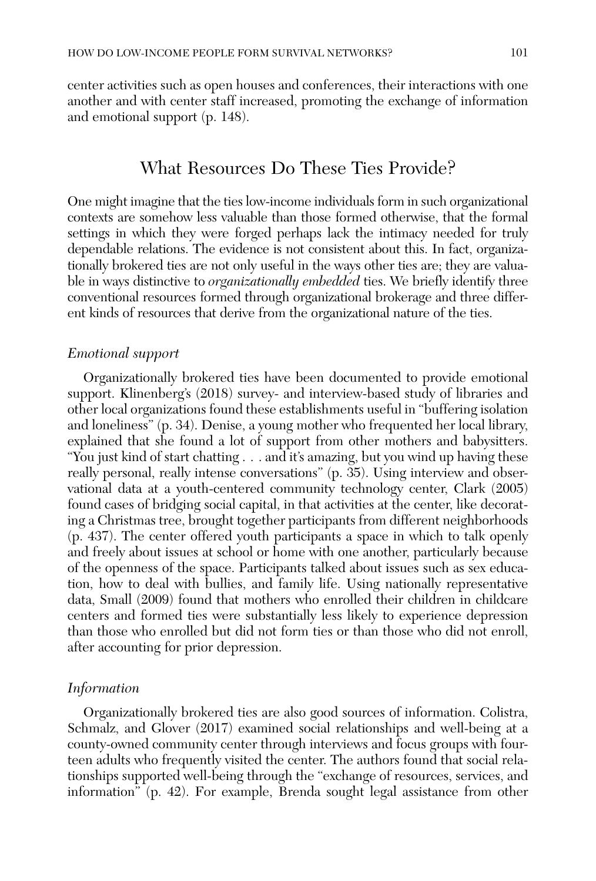center activities such as open houses and conferences, their interactions with one another and with center staff increased, promoting the exchange of information and emotional support (p. 148).

# What Resources Do These Ties Provide?

One might imagine that the ties low-income individuals form in such organizational contexts are somehow less valuable than those formed otherwise, that the formal settings in which they were forged perhaps lack the intimacy needed for truly dependable relations. The evidence is not consistent about this. In fact, organizationally brokered ties are not only useful in the ways other ties are; they are valuable in ways distinctive to *organizationally embedded* ties. We briefly identify three conventional resources formed through organizational brokerage and three different kinds of resources that derive from the organizational nature of the ties.

#### *Emotional support*

Organizationally brokered ties have been documented to provide emotional support. Klinenberg's (2018) survey- and interview-based study of libraries and other local organizations found these establishments useful in "buffering isolation and loneliness" (p. 34). Denise, a young mother who frequented her local library, explained that she found a lot of support from other mothers and babysitters. "You just kind of start chatting . . . and it's amazing, but you wind up having these really personal, really intense conversations" (p. 35). Using interview and observational data at a youth-centered community technology center, Clark (2005) found cases of bridging social capital, in that activities at the center, like decorating a Christmas tree, brought together participants from different neighborhoods (p. 437). The center offered youth participants a space in which to talk openly and freely about issues at school or home with one another, particularly because of the openness of the space. Participants talked about issues such as sex education, how to deal with bullies, and family life. Using nationally representative data, Small (2009) found that mothers who enrolled their children in childcare centers and formed ties were substantially less likely to experience depression than those who enrolled but did not form ties or than those who did not enroll, after accounting for prior depression.

#### *Information*

Organizationally brokered ties are also good sources of information. Colistra, Schmalz, and Glover (2017) examined social relationships and well-being at a county-owned community center through interviews and focus groups with fourteen adults who frequently visited the center. The authors found that social relationships supported well-being through the "exchange of resources, services, and information" (p. 42). For example, Brenda sought legal assistance from other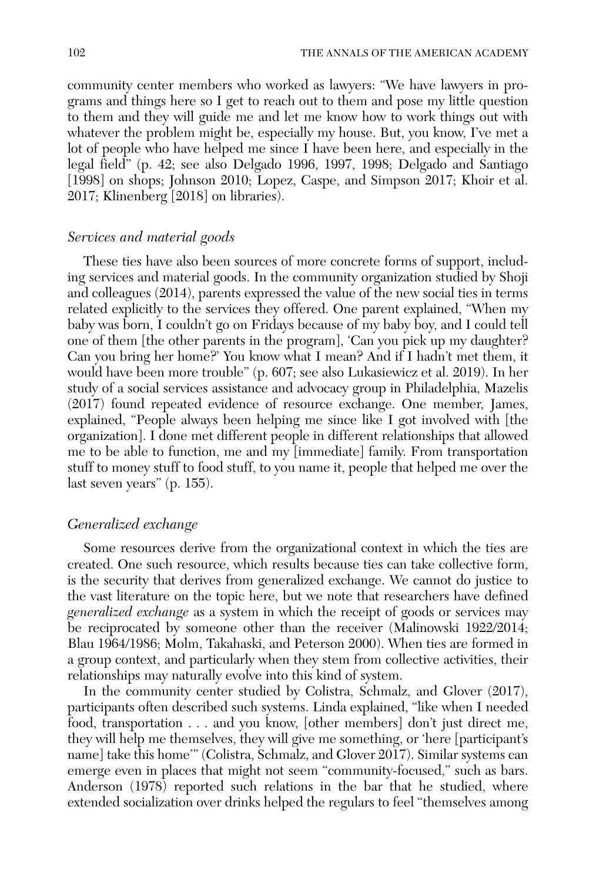community center members who worked as lawyers: "We have lawyers in programs and things here so I get to reach out to them and pose my little question to them and they will guide me and let me know how to work things out with whatever the problem might be, especially my house. But, you know, I've met a lot of people who have helped me since I have been here, and especially in the legal field" (p. 42; see also Delgado 1996, 1997, 1998; Delgado and Santiago [1998] on shops; Johnson 2010; Lopez, Caspe, and Simpson 2017; Khoir et al. 2017; Klinenberg [2018] on libraries).

#### *Services and material goods*

These ties have also been sources of more concrete forms of support, including services and material goods. In the community organization studied by Shoji and colleagues (2014), parents expressed the value of the new social ties in terms related explicitly to the services they offered. One parent explained, "When my baby was born, I couldn't go on Fridays because of my baby boy, and I could tell one of them [the other parents in the program], 'Can you pick up my daughter? Can you bring her home?' You know what I mean? And if I hadn't met them, it would have been more trouble" (p. 607; see also Lukasiewicz et al. 2019). In her study of a social services assistance and advocacy group in Philadelphia, Mazelis (2017) found repeated evidence of resource exchange. One member, James, explained, "People always been helping me since like I got involved with [the organization]. I done met different people in different relationships that allowed me to be able to function, me and my [immediate] family. From transportation stuff to money stuff to food stuff, to you name it, people that helped me over the last seven years" (p. 155).

#### *Generalized exchange*

Some resources derive from the organizational context in which the ties are created. One such resource, which results because ties can take collective form, is the security that derives from generalized exchange. We cannot do justice to the vast literature on the topic here, but we note that researchers have defined *generalized exchange* as a system in which the receipt of goods or services may be reciprocated by someone other than the receiver (Malinowski 1922/2014; Blau 1964/1986; Molm, Takahaski, and Peterson 2000). When ties are formed in a group context, and particularly when they stem from collective activities, their relationships may naturally evolve into this kind of system.

In the community center studied by Colistra, Schmalz, and Glover (2017), participants often described such systems. Linda explained, "like when I needed food, transportation . . . and you know, [other members] don't just direct me, they will help me themselves, they will give me something, or 'here [participant's name] take this home'" (Colistra, Schmalz, and Glover 2017). Similar systems can emerge even in places that might not seem "community-focused," such as bars. Anderson (1978) reported such relations in the bar that he studied, where extended socialization over drinks helped the regulars to feel "themselves among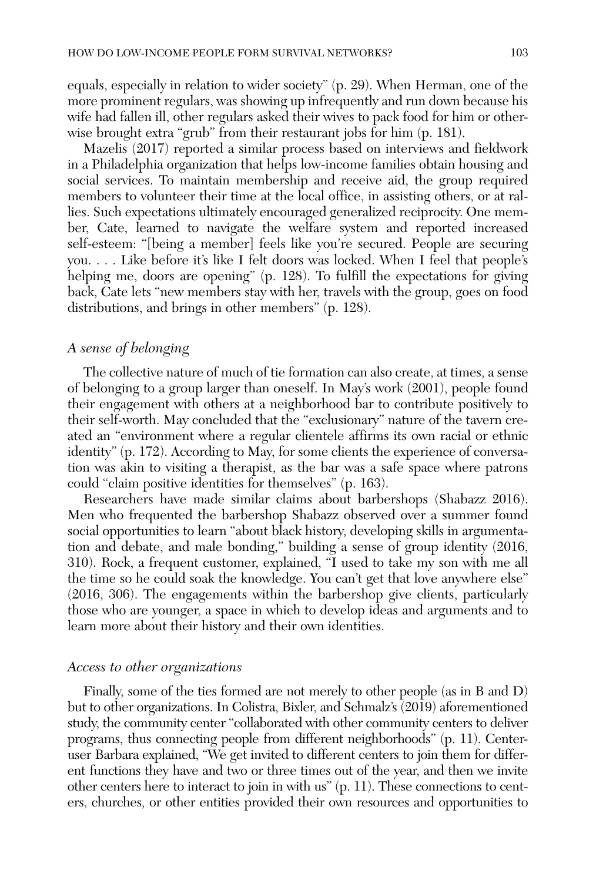equals, especially in relation to wider society" (p. 29). When Herman, one of the more prominent regulars, was showing up infrequently and run down because his wife had fallen ill, other regulars asked their wives to pack food for him or otherwise brought extra "grub" from their restaurant jobs for him (p. 181).

Mazelis (2017) reported a similar process based on interviews and fieldwork in a Philadelphia organization that helps low-income families obtain housing and social services. To maintain membership and receive aid, the group required members to volunteer their time at the local office, in assisting others, or at rallies. Such expectations ultimately encouraged generalized reciprocity. One member, Cate, learned to navigate the welfare system and reported increased self-esteem: "[being a member] feels like you're secured. People are securing you. . . . Like before it's like I felt doors was locked. When I feel that people's helping me, doors are opening" (p. 128). To fulfill the expectations for giving back, Cate lets "new members stay with her, travels with the group, goes on food distributions, and brings in other members" (p. 128).

#### *A sense of belonging*

The collective nature of much of tie formation can also create, at times, a sense of belonging to a group larger than oneself. In May's work (2001), people found their engagement with others at a neighborhood bar to contribute positively to their self-worth. May concluded that the "exclusionary" nature of the tavern created an "environment where a regular clientele affirms its own racial or ethnic identity" (p. 172). According to May, for some clients the experience of conversation was akin to visiting a therapist, as the bar was a safe space where patrons could "claim positive identities for themselves" (p. 163).

Researchers have made similar claims about barbershops (Shabazz 2016). Men who frequented the barbershop Shabazz observed over a summer found social opportunities to learn "about black history, developing skills in argumentation and debate, and male bonding," building a sense of group identity (2016, 310). Rock, a frequent customer, explained, "I used to take my son with me all the time so he could soak the knowledge. You can't get that love anywhere else" (2016, 306). The engagements within the barbershop give clients, particularly those who are younger, a space in which to develop ideas and arguments and to learn more about their history and their own identities.

#### *Access to other organizations*

Finally, some of the ties formed are not merely to other people (as in B and D) but to other organizations. In Colistra, Bixler, and Schmalz's (2019) aforementioned study, the community center "collaborated with other community centers to deliver programs, thus connecting people from different neighborhoods" (p. 11). Centeruser Barbara explained, "We get invited to different centers to join them for different functions they have and two or three times out of the year, and then we invite other centers here to interact to join in with us" (p. 11). These connections to centers, churches, or other entities provided their own resources and opportunities to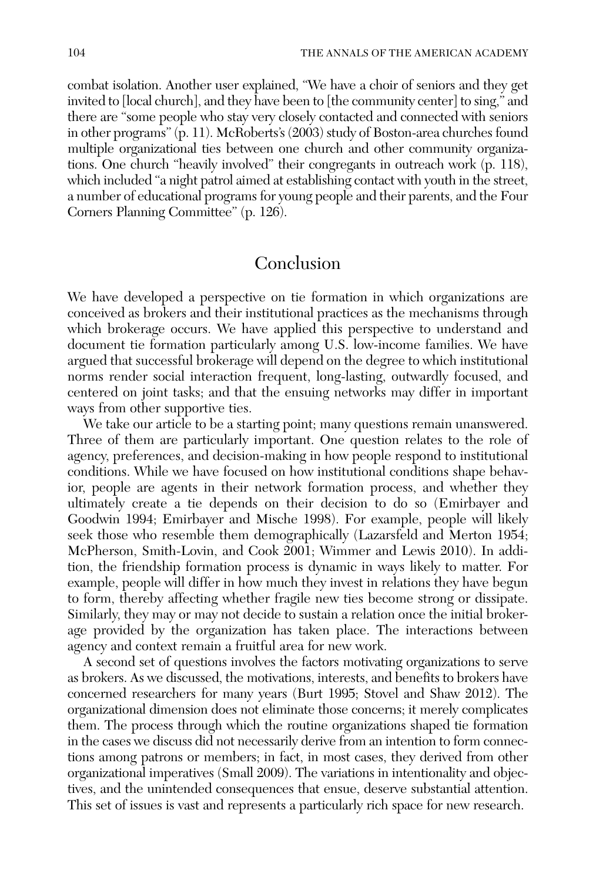combat isolation. Another user explained, "We have a choir of seniors and they get invited to [local church], and they have been to [the community center] to sing," and there are "some people who stay very closely contacted and connected with seniors in other programs" (p. 11). McRoberts's (2003) study of Boston-area churches found multiple organizational ties between one church and other community organizations. One church "heavily involved" their congregants in outreach work (p. 118), which included "a night patrol aimed at establishing contact with youth in the street, a number of educational programs for young people and their parents, and the Four Corners Planning Committee" (p. 126).

## Conclusion

We have developed a perspective on tie formation in which organizations are conceived as brokers and their institutional practices as the mechanisms through which brokerage occurs. We have applied this perspective to understand and document tie formation particularly among U.S. low-income families. We have argued that successful brokerage will depend on the degree to which institutional norms render social interaction frequent, long-lasting, outwardly focused, and centered on joint tasks; and that the ensuing networks may differ in important ways from other supportive ties.

We take our article to be a starting point; many questions remain unanswered. Three of them are particularly important. One question relates to the role of agency, preferences, and decision-making in how people respond to institutional conditions. While we have focused on how institutional conditions shape behavior, people are agents in their network formation process, and whether they ultimately create a tie depends on their decision to do so (Emirbayer and Goodwin 1994; Emirbayer and Mische 1998). For example, people will likely seek those who resemble them demographically (Lazarsfeld and Merton 1954; McPherson, Smith-Lovin, and Cook 2001; Wimmer and Lewis 2010). In addition, the friendship formation process is dynamic in ways likely to matter. For example, people will differ in how much they invest in relations they have begun to form, thereby affecting whether fragile new ties become strong or dissipate. Similarly, they may or may not decide to sustain a relation once the initial brokerage provided by the organization has taken place. The interactions between agency and context remain a fruitful area for new work.

A second set of questions involves the factors motivating organizations to serve as brokers. As we discussed, the motivations, interests, and benefits to brokers have concerned researchers for many years (Burt 1995; Stovel and Shaw 2012). The organizational dimension does not eliminate those concerns; it merely complicates them. The process through which the routine organizations shaped tie formation in the cases we discuss did not necessarily derive from an intention to form connections among patrons or members; in fact, in most cases, they derived from other organizational imperatives (Small 2009). The variations in intentionality and objectives, and the unintended consequences that ensue, deserve substantial attention. This set of issues is vast and represents a particularly rich space for new research.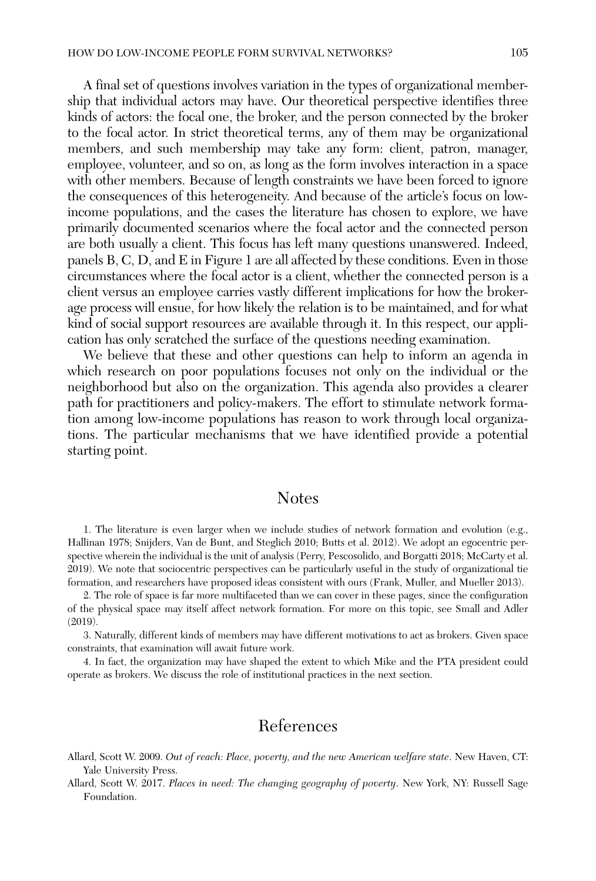A final set of questions involves variation in the types of organizational membership that individual actors may have. Our theoretical perspective identifies three kinds of actors: the focal one, the broker, and the person connected by the broker to the focal actor. In strict theoretical terms, any of them may be organizational members, and such membership may take any form: client, patron, manager, employee, volunteer, and so on, as long as the form involves interaction in a space with other members. Because of length constraints we have been forced to ignore the consequences of this heterogeneity. And because of the article's focus on lowincome populations, and the cases the literature has chosen to explore, we have primarily documented scenarios where the focal actor and the connected person are both usually a client. This focus has left many questions unanswered. Indeed, panels B, C, D, and E in Figure 1 are all affected by these conditions. Even in those circumstances where the focal actor is a client, whether the connected person is a client versus an employee carries vastly different implications for how the brokerage process will ensue, for how likely the relation is to be maintained, and for what kind of social support resources are available through it. In this respect, our application has only scratched the surface of the questions needing examination.

We believe that these and other questions can help to inform an agenda in which research on poor populations focuses not only on the individual or the neighborhood but also on the organization. This agenda also provides a clearer path for practitioners and policy-makers. The effort to stimulate network formation among low-income populations has reason to work through local organizations. The particular mechanisms that we have identified provide a potential starting point.

### Notes

1. The literature is even larger when we include studies of network formation and evolution (e.g., Hallinan 1978; Snijders, Van de Bunt, and Steglich 2010; Butts et al. 2012). We adopt an egocentric perspective wherein the individual is the unit of analysis (Perry, Pescosolido, and Borgatti 2018; McCarty et al. 2019). We note that sociocentric perspectives can be particularly useful in the study of organizational tie formation, and researchers have proposed ideas consistent with ours (Frank, Muller, and Mueller 2013).

2. The role of space is far more multifaceted than we can cover in these pages, since the configuration of the physical space may itself affect network formation. For more on this topic, see Small and Adler (2019).

3. Naturally, different kinds of members may have different motivations to act as brokers. Given space constraints, that examination will await future work.

4. In fact, the organization may have shaped the extent to which Mike and the PTA president could operate as brokers. We discuss the role of institutional practices in the next section.

## References

Allard, Scott W. 2009. *Out of reach: Place, poverty, and the new American welfare state*. New Haven, CT: Yale University Press.

Allard, Scott W. 2017. *Places in need: The changing geography of poverty*. New York, NY: Russell Sage Foundation.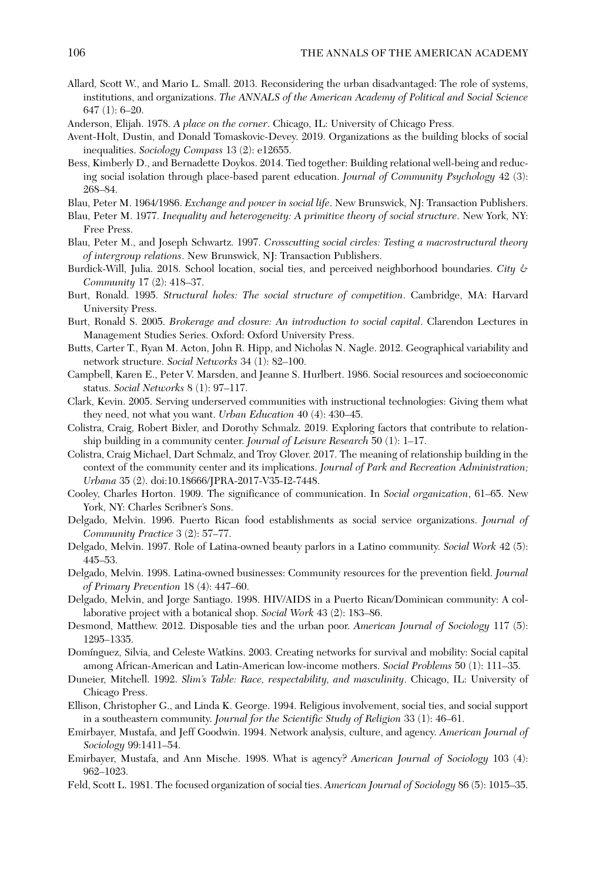- Allard, Scott W., and Mario L. Small. 2013. Reconsidering the urban disadvantaged: The role of systems, institutions, and organizations. *The ANNALS of the American Academy of Political and Social Science* 647 (1): 6–20.
- Anderson, Elijah. 1978. *A place on the corner*. Chicago, IL: University of Chicago Press.
- Avent-Holt, Dustin, and Donald Tomaskovic-Devey. 2019. Organizations as the building blocks of social inequalities. *Sociology Compass* 13 (2): e12655.
- Bess, Kimberly D., and Bernadette Doykos. 2014. Tied together: Building relational well-being and reducing social isolation through place-based parent education. *Journal of Community Psychology* 42 (3): 268–84.
- Blau, Peter M. 1964/1986. *Exchange and power in social life*. New Brunswick, NJ: Transaction Publishers.
- Blau, Peter M. 1977. *Inequality and heterogeneity: A primitive theory of social structure*. New York, NY: Free Press.
- Blau, Peter M., and Joseph Schwartz. 1997. *Crosscutting social circles: Testing a macrostructural theory of intergroup relations*. New Brunswick, NJ: Transaction Publishers.
- Burdick-Will, Julia. 2018. School location, social ties, and perceived neighborhood boundaries. *City & Community* 17 (2): 418–37.
- Burt, Ronald. 1995. *Structural holes: The social structure of competition*. Cambridge, MA: Harvard University Press.
- Burt, Ronald S. 2005. *Brokerage and closure: An introduction to social capital*. Clarendon Lectures in Management Studies Series. Oxford: Oxford University Press.
- Butts, Carter T., Ryan M. Acton, John R. Hipp, and Nicholas N. Nagle. 2012. Geographical variability and network structure. *Social Networks* 34 (1): 82–100.
- Campbell, Karen E., Peter V. Marsden, and Jeanne S. Hurlbert. 1986. Social resources and socioeconomic status. *Social Networks* 8 (1): 97–117.
- Clark, Kevin. 2005. Serving underserved communities with instructional technologies: Giving them what they need, not what you want. *Urban Education* 40 (4): 430–45.
- Colistra, Craig, Robert Bixler, and Dorothy Schmalz. 2019. Exploring factors that contribute to relationship building in a community center. *Journal of Leisure Research* 50 (1): 1–17.
- Colistra, Craig Michael, Dart Schmalz, and Troy Glover. 2017. The meaning of relationship building in the context of the community center and its implications. *Journal of Park and Recreation Administration; Urbana* 35 (2). doi:10.18666/JPRA-2017-V35-I2-7448.
- Cooley, Charles Horton. 1909. The significance of communication. In *Social organization*, 61–65. New York, NY: Charles Scribner's Sons.
- Delgado, Melvin. 1996. Puerto Rican food establishments as social service organizations. *Journal of Community Practice* 3 (2): 57–77.
- Delgado, Melvin. 1997. Role of Latina-owned beauty parlors in a Latino community. *Social Work* 42 (5): 445–53.
- Delgado, Melvin. 1998. Latina-owned businesses: Community resources for the prevention field. *Journal of Primary Prevention* 18 (4): 447–60.
- Delgado, Melvin, and Jorge Santiago. 1998. HIV/AIDS in a Puerto Rican/Dominican community: A collaborative project with a botanical shop. *Social Work* 43 (2): 183–86.
- Desmond, Matthew. 2012. Disposable ties and the urban poor. *American Journal of Sociology* 117 (5): 1295–1335.
- Domínguez, Silvia, and Celeste Watkins. 2003. Creating networks for survival and mobility: Social capital among African-American and Latin-American low-income mothers. *Social Problems* 50 (1): 111–35.
- Duneier, Mitchell. 1992. *Slim's Table: Race, respectability, and masculinity*. Chicago, IL: University of Chicago Press.
- Ellison, Christopher G., and Linda K. George. 1994. Religious involvement, social ties, and social support in a southeastern community. *Journal for the Scientific Study of Religion* 33 (1): 46–61.
- Emirbayer, Mustafa, and Jeff Goodwin. 1994. Network analysis, culture, and agency. *American Journal of Sociology* 99:1411–54.
- Emirbayer, Mustafa, and Ann Mische. 1998. What is agency? *American Journal of Sociology* 103 (4): 962–1023.
- Feld, Scott L. 1981. The focused organization of social ties. *American Journal of Sociology* 86 (5): 1015–35.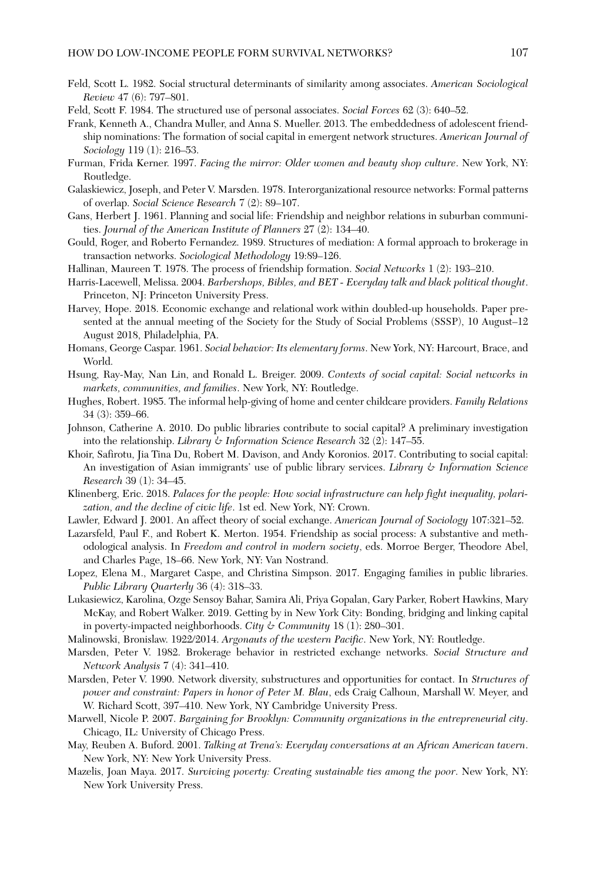- Feld, Scott L. 1982. Social structural determinants of similarity among associates. *American Sociological Review* 47 (6): 797–801.
- Feld, Scott F. 1984. The structured use of personal associates. *Social Forces* 62 (3): 640–52.
- Frank, Kenneth A., Chandra Muller, and Anna S. Mueller. 2013. The embeddedness of adolescent friendship nominations: The formation of social capital in emergent network structures. *American Journal of Sociology* 119 (1): 216–53.
- Furman, Frida Kerner. 1997. *Facing the mirror: Older women and beauty shop culture*. New York, NY: Routledge.
- Galaskiewicz, Joseph, and Peter V. Marsden. 1978. Interorganizational resource networks: Formal patterns of overlap. *Social Science Research* 7 (2): 89–107.
- Gans, Herbert J. 1961. Planning and social life: Friendship and neighbor relations in suburban communities. *Journal of the American Institute of Planners* 27 (2): 134–40.
- Gould, Roger, and Roberto Fernandez. 1989. Structures of mediation: A formal approach to brokerage in transaction networks. *Sociological Methodology* 19:89–126.
- Hallinan, Maureen T. 1978. The process of friendship formation. *Social Networks* 1 (2): 193–210.
- Harris-Lacewell, Melissa. 2004. *Barbershops, Bibles, and BET Everyday talk and black political thought*. Princeton, NJ: Princeton University Press.
- Harvey, Hope. 2018. Economic exchange and relational work within doubled-up households. Paper presented at the annual meeting of the Society for the Study of Social Problems (SSSP), 10 August–12 August 2018, Philadelphia, PA.
- Homans, George Caspar. 1961. *Social behavior: Its elementary forms*. New York, NY: Harcourt, Brace, and World.
- Hsung, Ray-May, Nan Lin, and Ronald L. Breiger. 2009. *Contexts of social capital: Social networks in markets, communities, and families*. New York, NY: Routledge.
- Hughes, Robert. 1985. The informal help-giving of home and center childcare providers. *Family Relations* 34 (3): 359–66.
- Johnson, Catherine A. 2010. Do public libraries contribute to social capital? A preliminary investigation into the relationship. *Library & Information Science Research* 32 (2): 147–55.
- Khoir, Safirotu, Jia Tina Du, Robert M. Davison, and Andy Koronios. 2017. Contributing to social capital: An investigation of Asian immigrants' use of public library services. *Library & Information Science Research* 39 (1): 34–45.
- Klinenberg, Eric. 2018. *Palaces for the people: How social infrastructure can help fight inequality, polarization, and the decline of civic life*. 1st ed. New York, NY: Crown.
- Lawler, Edward J. 2001. An affect theory of social exchange. *American Journal of Sociology* 107:321–52.
- Lazarsfeld, Paul F., and Robert K. Merton. 1954. Friendship as social process: A substantive and methodological analysis. In *Freedom and control in modern society*, eds. Morroe Berger, Theodore Abel, and Charles Page, 18–66. New York, NY: Van Nostrand.
- Lopez, Elena M., Margaret Caspe, and Christina Simpson. 2017. Engaging families in public libraries. *Public Library Quarterly* 36 (4): 318–33.
- Lukasiewicz, Karolina, Ozge Sensoy Bahar, Samira Ali, Priya Gopalan, Gary Parker, Robert Hawkins, Mary McKay, and Robert Walker. 2019. Getting by in New York City: Bonding, bridging and linking capital in poverty-impacted neighborhoods. *City & Community* 18 (1): 280–301.
- Malinowski, Bronislaw. 1922/2014. *Argonauts of the western Pacific*. New York, NY: Routledge.
- Marsden, Peter V. 1982. Brokerage behavior in restricted exchange networks. *Social Structure and Network Analysis* 7 (4): 341–410.
- Marsden, Peter V. 1990. Network diversity, substructures and opportunities for contact. In *Structures of power and constraint: Papers in honor of Peter M. Blau*, eds Craig Calhoun, Marshall W. Meyer, and W. Richard Scott, 397–410. New York, NY Cambridge University Press.
- Marwell, Nicole P. 2007. *Bargaining for Brooklyn: Community organizations in the entrepreneurial city*. Chicago, IL: University of Chicago Press.
- May, Reuben A. Buford. 2001. *Talking at Trena's: Everyday conversations at an African American tavern*. New York, NY: New York University Press.
- Mazelis, Joan Maya. 2017. *Surviving poverty: Creating sustainable ties among the poor*. New York, NY: New York University Press.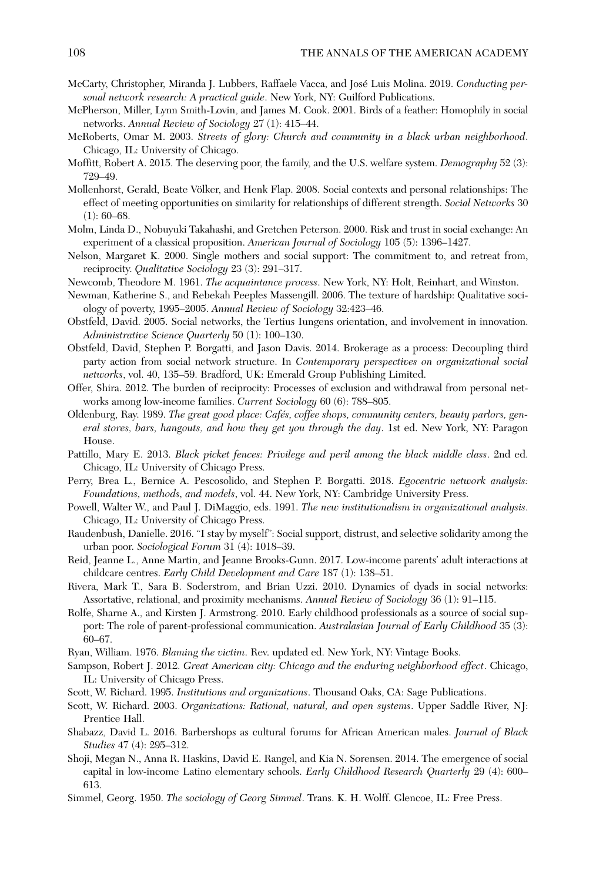- McCarty, Christopher, Miranda J. Lubbers, Raffaele Vacca, and José Luis Molina. 2019. *Conducting personal network research: A practical guide*. New York, NY: Guilford Publications.
- McPherson, Miller, Lynn Smith-Lovin, and James M. Cook. 2001. Birds of a feather: Homophily in social networks. *Annual Review of Sociology* 27 (1): 415–44.
- McRoberts, Omar M. 2003. *Streets of glory: Church and community in a black urban neighborhood*. Chicago, IL: University of Chicago.
- Moffitt, Robert A. 2015. The deserving poor, the family, and the U.S. welfare system. *Demography* 52 (3): 729–49.
- Mollenhorst, Gerald, Beate Völker, and Henk Flap. 2008. Social contexts and personal relationships: The effect of meeting opportunities on similarity for relationships of different strength. *Social Networks* 30 (1): 60–68.
- Molm, Linda D., Nobuyuki Takahashi, and Gretchen Peterson. 2000. Risk and trust in social exchange: An experiment of a classical proposition. *American Journal of Sociology* 105 (5): 1396–1427.
- Nelson, Margaret K. 2000. Single mothers and social support: The commitment to, and retreat from, reciprocity. *Qualitative Sociology* 23 (3): 291–317.
- Newcomb, Theodore M. 1961. *The acquaintance process*. New York, NY: Holt, Reinhart, and Winston.
- Newman, Katherine S., and Rebekah Peeples Massengill. 2006. The texture of hardship: Qualitative sociology of poverty, 1995–2005. *Annual Review of Sociology* 32:423–46.
- Obstfeld, David. 2005. Social networks, the Tertius Iungens orientation, and involvement in innovation. *Administrative Science Quarterly* 50 (1): 100–130.
- Obstfeld, David, Stephen P. Borgatti, and Jason Davis. 2014. Brokerage as a process: Decoupling third party action from social network structure. In *Contemporary perspectives on organizational social networks*, vol. 40, 135–59. Bradford, UK: Emerald Group Publishing Limited.
- Offer, Shira. 2012. The burden of reciprocity: Processes of exclusion and withdrawal from personal networks among low-income families. *Current Sociology* 60 (6): 788–805.
- Oldenburg, Ray. 1989. *The great good place: Cafés, coffee shops, community centers, beauty parlors, general stores, bars, hangouts, and how they get you through the day*. 1st ed. New York, NY: Paragon House.
- Pattillo, Mary E. 2013. *Black picket fences: Privilege and peril among the black middle class*. 2nd ed. Chicago, IL: University of Chicago Press.
- Perry, Brea L., Bernice A. Pescosolido, and Stephen P. Borgatti. 2018. *Egocentric network analysis: Foundations, methods, and models*, vol. 44. New York, NY: Cambridge University Press.
- Powell, Walter W., and Paul J. DiMaggio, eds. 1991. *The new institutionalism in organizational analysis*. Chicago, IL: University of Chicago Press.
- Raudenbush, Danielle. 2016. "I stay by myself": Social support, distrust, and selective solidarity among the urban poor. *Sociological Forum* 31 (4): 1018–39.
- Reid, Jeanne L., Anne Martin, and Jeanne Brooks-Gunn. 2017. Low-income parents' adult interactions at childcare centres. *Early Child Development and Care* 187 (1): 138–51.
- Rivera, Mark T., Sara B. Soderstrom, and Brian Uzzi. 2010. Dynamics of dyads in social networks: Assortative, relational, and proximity mechanisms. *Annual Review of Sociology* 36 (1): 91–115.
- Rolfe, Sharne A., and Kirsten J. Armstrong. 2010. Early childhood professionals as a source of social support: The role of parent-professional communication. *Australasian Journal of Early Childhood* 35 (3): 60–67.
- Ryan, William. 1976. *Blaming the victim*. Rev. updated ed. New York, NY: Vintage Books.
- Sampson, Robert J. 2012. *Great American city: Chicago and the enduring neighborhood effect*. Chicago, IL: University of Chicago Press.
- Scott, W. Richard. 1995. *Institutions and organizations*. Thousand Oaks, CA: Sage Publications.
- Scott, W. Richard. 2003. *Organizations: Rational, natural, and open systems*. Upper Saddle River, NJ: Prentice Hall.
- Shabazz, David L. 2016. Barbershops as cultural forums for African American males. *Journal of Black Studies* 47 (4): 295–312.
- Shoji, Megan N., Anna R. Haskins, David E. Rangel, and Kia N. Sorensen. 2014. The emergence of social capital in low-income Latino elementary schools. *Early Childhood Research Quarterly* 29 (4): 600– 613.
- Simmel, Georg. 1950. *The sociology of Georg Simmel*. Trans. K. H. Wolff. Glencoe, IL: Free Press.